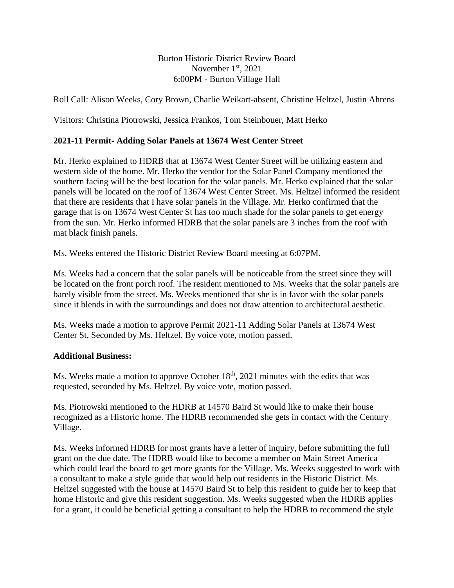## Burton Historic District Review Board November 1<sup>st</sup>, 2021 6:00PM - Burton Village Hall

Roll Call: Alison Weeks, Cory Brown, Charlie Weikart-absent, Christine Heltzel, Justin Ahrens

Visitors: Christina Piotrowski, Jessica Frankos, Tom Steinbouer, Matt Herko

## **2021-11 Permit- Adding Solar Panels at 13674 West Center Street**

Mr. Herko explained to HDRB that at 13674 West Center Street will be utilizing eastern and western side of the home. Mr. Herko the vendor for the Solar Panel Company mentioned the southern facing will be the best location for the solar panels. Mr. Herko explained that the solar panels will be located on the roof of 13674 West Center Street. Ms. Heltzel informed the resident that there are residents that I have solar panels in the Village. Mr. Herko confirmed that the garage that is on 13674 West Center St has too much shade for the solar panels to get energy from the sun. Mr. Herko informed HDRB that the solar panels are 3 inches from the roof with mat black finish panels.

Ms. Weeks entered the Historic District Review Board meeting at 6:07PM.

Ms. Weeks had a concern that the solar panels will be noticeable from the street since they will be located on the front porch roof. The resident mentioned to Ms. Weeks that the solar panels are barely visible from the street. Ms. Weeks mentioned that she is in favor with the solar panels since it blends in with the surroundings and does not draw attention to architectural aesthetic.

Ms. Weeks made a motion to approve Permit 2021-11 Adding Solar Panels at 13674 West Center St, Seconded by Ms. Heltzel. By voice vote, motion passed.

## **Additional Business:**

Ms. Weeks made a motion to approve October 18<sup>th</sup>, 2021 minutes with the edits that was requested, seconded by Ms. Heltzel. By voice vote, motion passed.

Ms. Piotrowski mentioned to the HDRB at 14570 Baird St would like to make their house recognized as a Historic home. The HDRB recommended she gets in contact with the Century Village.

Ms. Weeks informed HDRB for most grants have a letter of inquiry, before submitting the full grant on the due date. The HDRB would like to become a member on Main Street America which could lead the board to get more grants for the Village. Ms. Weeks suggested to work with a consultant to make a style guide that would help out residents in the Historic District. Ms. Heltzel suggested with the house at 14570 Baird St to help this resident to guide her to keep that home Historic and give this resident suggestion. Ms. Weeks suggested when the HDRB applies for a grant, it could be beneficial getting a consultant to help the HDRB to recommend the style